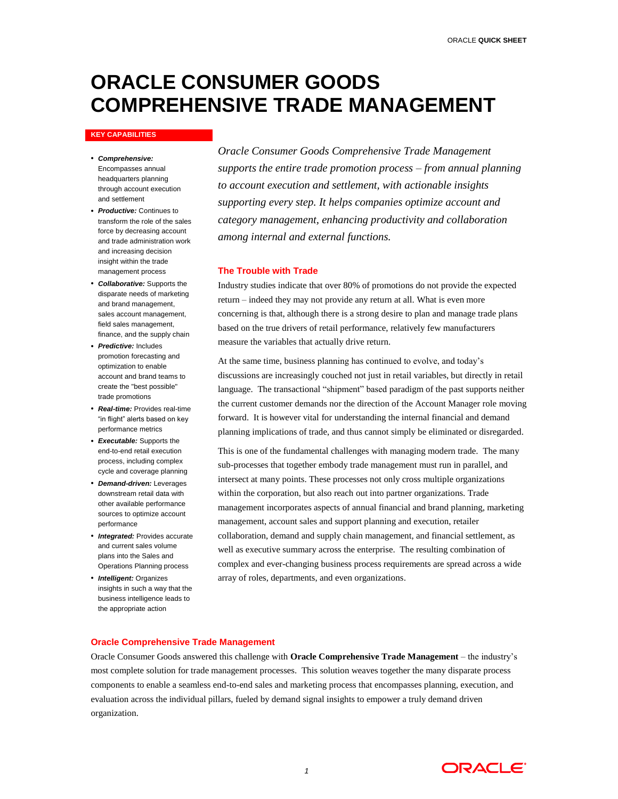# **ORACLE CONSUMER GOODS COMPREHENSIVE TRADE MANAGEMENT**

#### **KEY CAPABILITIES**

- *Comprehensive:* Encompasses annual headquarters planning through account execution and settlement
- *Productive:* Continues to transform the role of the sales force by decreasing account and trade administration work and increasing decision insight within the trade management process
- *Collaborative:* Supports the disparate needs of marketing and brand management, sales account management, field sales management, finance, and the supply chain
- *Predictive:* Includes promotion forecasting and optimization to enable account and brand teams to create the "best possible" trade promotions
- *Real-time:* Provides real-time "in flight" alerts based on key performance metrics
- *Executable:* Supports the end-to-end retail execution process, including complex cycle and coverage planning
- *Demand-driven:* Leverages downstream retail data with other available performance sources to optimize account performance
- *Integrated:* Provides accurate and current sales volume plans into the Sales and Operations Planning process
- *Intelligent:* Organizes insights in such a way that the business intelligence leads to the appropriate action

*Oracle Consumer Goods Comprehensive Trade Management supports the entire trade promotion process – from annual planning to account execution and settlement, with actionable insights supporting every step. It helps companies optimize account and category management, enhancing productivity and collaboration among internal and external functions.*

### **The Trouble with Trade**

Industry studies indicate that over 80% of promotions do not provide the expected return – indeed they may not provide any return at all. What is even more concerning is that, although there is a strong desire to plan and manage trade plans based on the true drivers of retail performance, relatively few manufacturers measure the variables that actually drive return.

At the same time, business planning has continued to evolve, and today's discussions are increasingly couched not just in retail variables, but directly in retail language. The transactional "shipment" based paradigm of the past supports neither the current customer demands nor the direction of the Account Manager role moving forward. It is however vital for understanding the internal financial and demand planning implications of trade, and thus cannot simply be eliminated or disregarded.

This is one of the fundamental challenges with managing modern trade. The many sub-processes that together embody trade management must run in parallel, and intersect at many points. These processes not only cross multiple organizations within the corporation, but also reach out into partner organizations. Trade management incorporates aspects of annual financial and brand planning, marketing management, account sales and support planning and execution, retailer collaboration, demand and supply chain management, and financial settlement, as well as executive summary across the enterprise. The resulting combination of complex and ever-changing business process requirements are spread across a wide array of roles, departments, and even organizations.

## **Oracle Comprehensive Trade Management**

Oracle Consumer Goods answered this challenge with **Oracle Comprehensive Trade Management** – the industry's most complete solution for trade management processes. This solution weaves together the many disparate process components to enable a seamless end-to-end sales and marketing process that encompasses planning, execution, and evaluation across the individual pillars, fueled by demand signal insights to empower a truly demand driven organization.